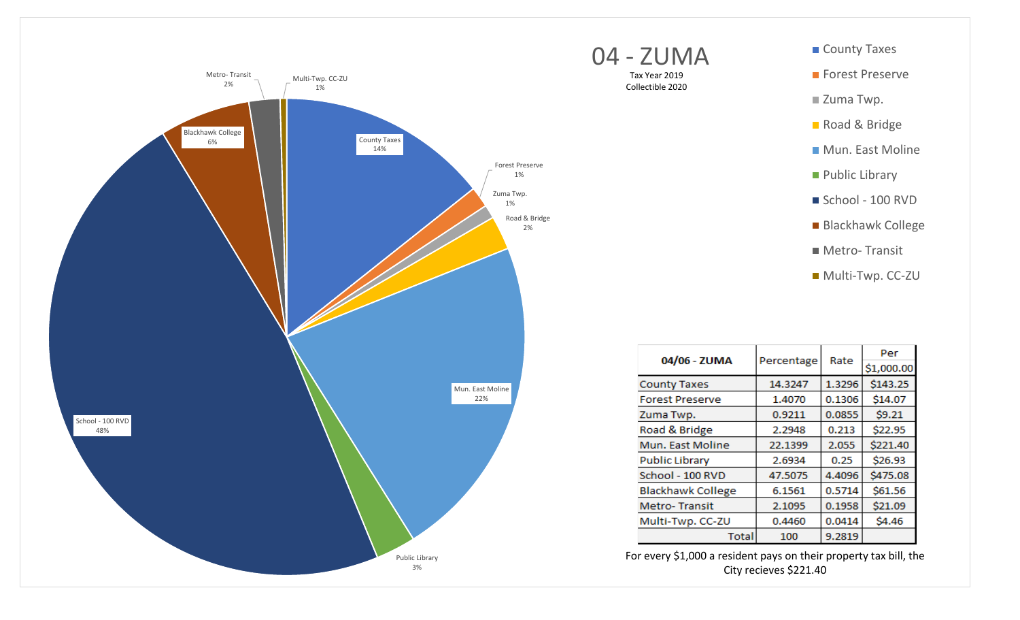



For every \$1,000 a resident pays on their property tax bill, the City recieves \$221.40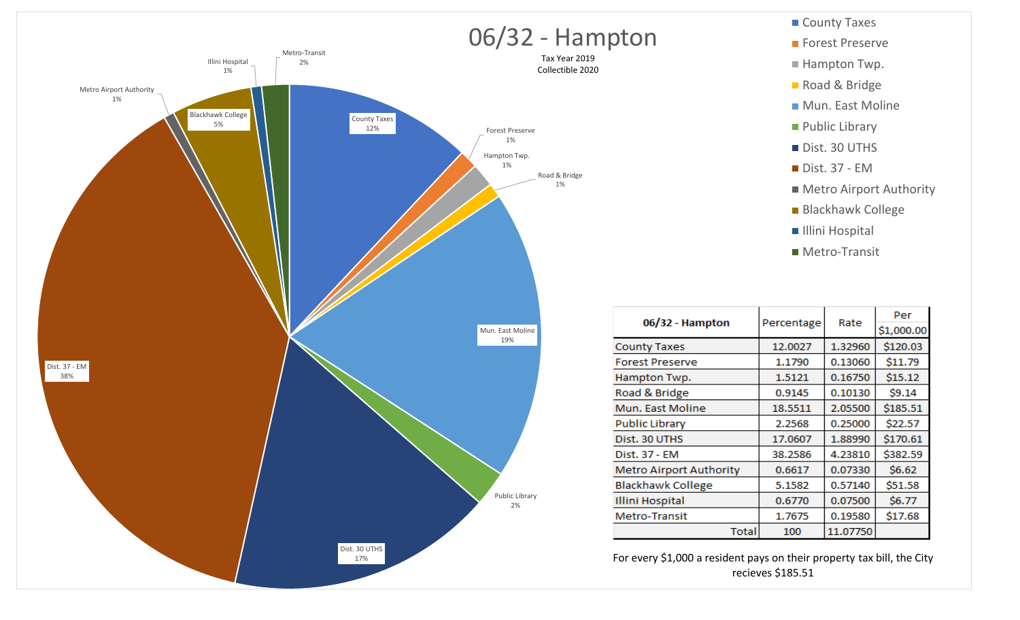

**Public Library** Dist. 30 UTHS  $\blacksquare$  Dist. 37 - EM **Metro Airport Authority** Blackhawk College **Illini Hospital Metro-Transit** Per 06/32 - Hampton Percentage Rate \$1,000.00 \$120.03 **County Taxes** 12.0027 1.32960 1.1790 \$11.79 **Forest Preserve** 0.13060 Hampton Twp. 1.5121 0.16750  $$15.12$ Road & Bridge 0.9145 0.10130  $$9.14$ Mun. East Moline 18.5511 2.05500 \$185.51 2.2568 \$22.57 **Public Library** 0.25000 17.0607 \$170.61 Dist. 30 UTHS 1.88990 38.2586 \$382.59 4.23810 Dist. 37 - EM **Metro Airport Authority** 0.6617 0.07330  $$6.62$ **Blackhawk College** 5.1582 0.57140 \$51.58 **Illini Hospital** 0.6770 0.07500  $$6.77$ 1.7675 0.19580 \$17.68 Metro-Transit **Total** 100 11.07750

County Taxes

**Forest Preserve** 

Hampton Twp.

Road & Bridge

Mun. East Moline

For every \$1,000 a resident pays on their property tax bill, the City recieves \$185.51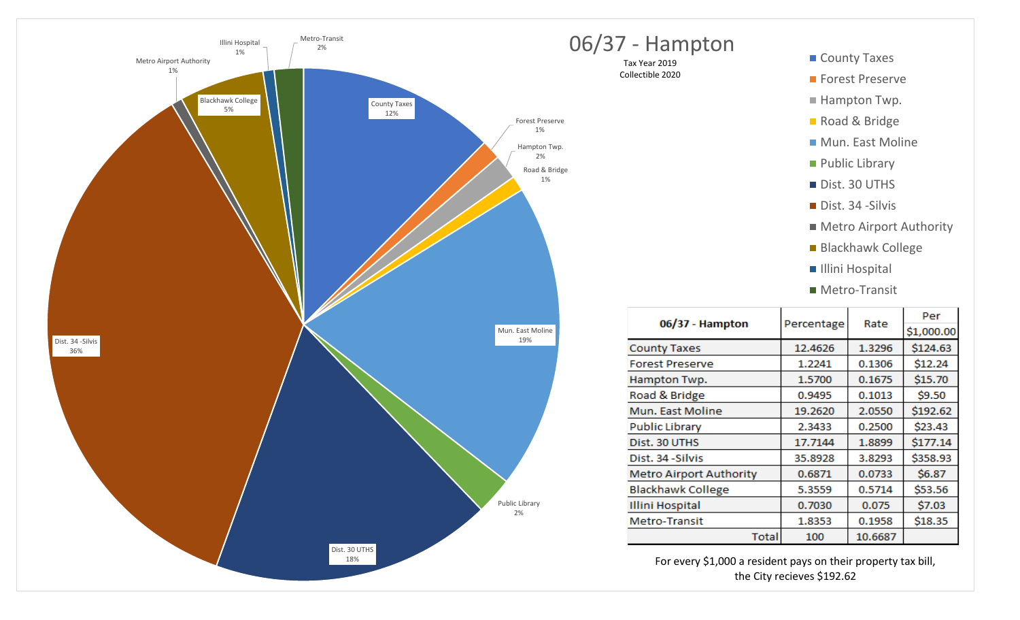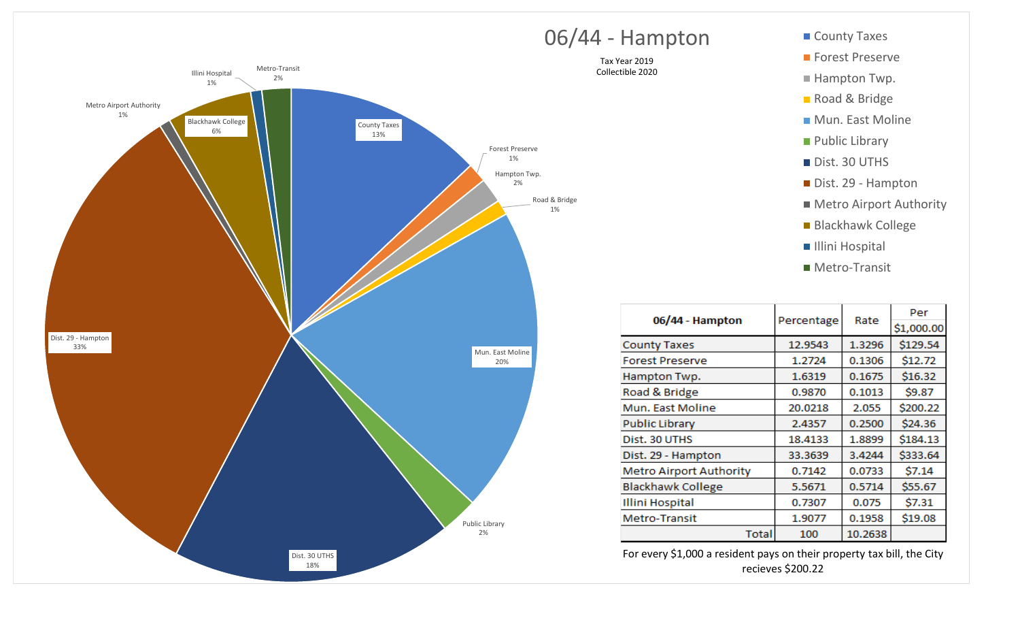

## O6/44 - Hampton County Taxes

Tax Year 2019 Collectible 2020

- **Forest Preserve**
- $\blacksquare$  Hampton Twp.
- Road & Bridge
- Mun. East Moline
- **Public Library**
- Dist. 30 UTHS
- Dist. 29 Hampton
- Metro Airport Authority
- Blackhawk College
- Illini Hospital
- Metro-Transit

| 06/44 - Hampton                |            |         | Per        |
|--------------------------------|------------|---------|------------|
|                                | Percentage | Rate    | \$1,000.00 |
| <b>County Taxes</b>            | 12.9543    | 1.3296  | \$129.54   |
| <b>Forest Preserve</b>         | 1.2724     | 0.1306  | \$12.72    |
| Hampton Twp.                   | 1.6319     | 0.1675  | \$16.32    |
| Road & Bridge                  | 0.9870     | 0.1013  | \$9.87     |
| Mun. East Moline               | 20.0218    | 2.055   | \$200.22   |
| <b>Public Library</b>          | 2.4357     | 0.2500  | \$24.36    |
| Dist. 30 UTHS                  | 18.4133    | 1.8899  | \$184.13   |
| Dist. 29 - Hampton             | 33.3639    | 3.4244  | \$333.64   |
| <b>Metro Airport Authority</b> | 0.7142     | 0.0733  | \$7.14     |
| <b>Blackhawk College</b>       | 5.5671     | 0.5714  | \$55.67    |
| <b>Illini Hospital</b>         | 0.7307     | 0.075   | \$7.31     |
| Metro-Transit                  | 1.9077     | 0.1958  | \$19.08    |
| <b>Total</b>                   | 100        | 10.2638 |            |

For every \$1,000 a resident pays on their property tax bill, the City recieves \$200.22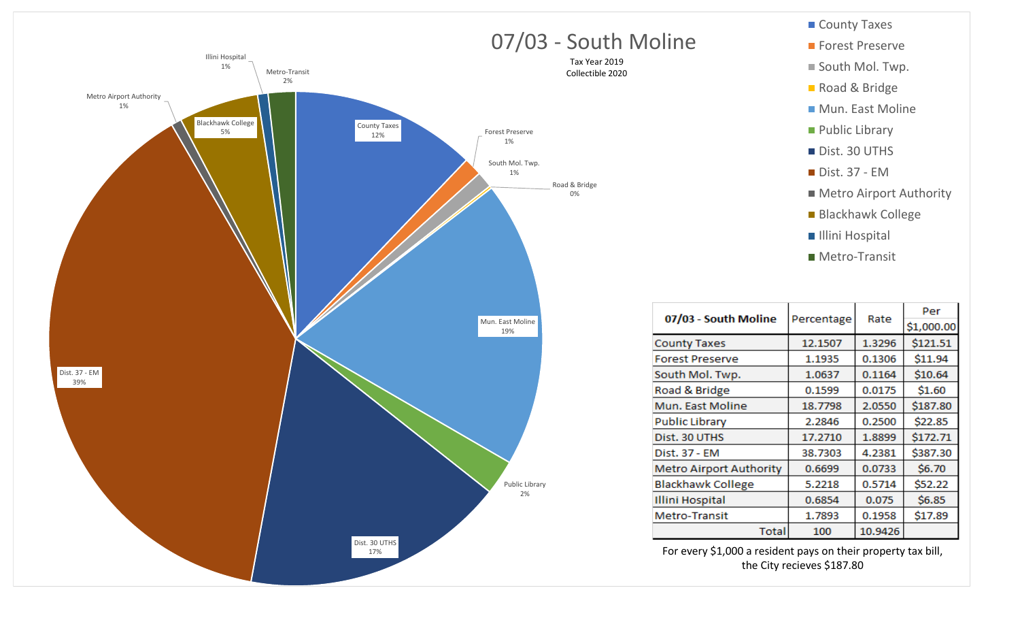



For every \$1,000 a resident pays on their property tax bill, the City recieves \$187.80

**Total** 

0.6854

1.7893

100

0.075

0.1958

10.9426

 $$6.85$ 

\$17.89

**Illini Hospital** 

Metro-Transit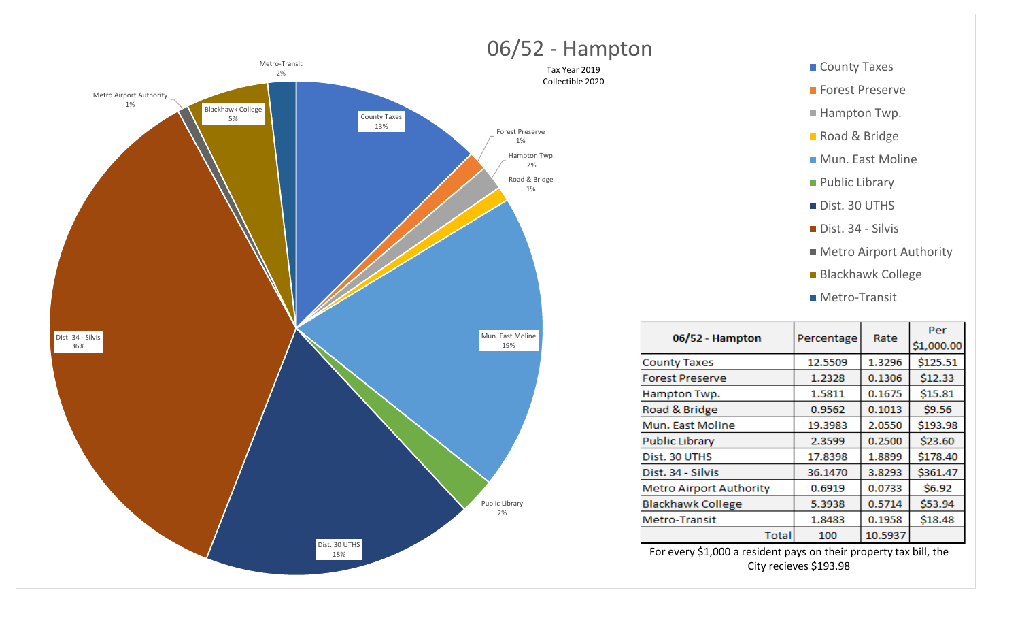



| 06/52 - Hampton                | Percentage | Rate    | Per<br>\$1,000.00 |
|--------------------------------|------------|---------|-------------------|
| <b>County Taxes</b>            | 12.5509    | 1.3296  | \$125.51          |
| <b>Forest Preserve</b>         | 1.2328     | 0.1306  | \$12.33           |
| Hampton Twp.                   | 1.5811     | 0.1675  | \$15.81           |
| Road & Bridge                  | 0.9562     | 0.1013  | \$9.56            |
| Mun. East Moline               | 19.3983    | 2.0550  | \$193.98          |
| <b>Public Library</b>          | 2.3599     | 0.2500  | \$23.60           |
| Dist. 30 UTHS                  | 17.8398    | 1.8899  | \$178.40          |
| Dist. 34 - Silvis              | 36.1470    | 3.8293  | \$361.47          |
| <b>Metro Airport Authority</b> | 0.6919     | 0.0733  | \$6.92            |
| <b>Blackhawk College</b>       | 5.3938     | 0.5714  | \$53.94           |
| Metro-Transit                  | 1.8483     | 0.1958  | \$18.48           |
| <b>Total</b>                   | 100        | 10.5937 |                   |

For every \$1,000 a resident pays on their property tax bill, the City recieves \$193.98